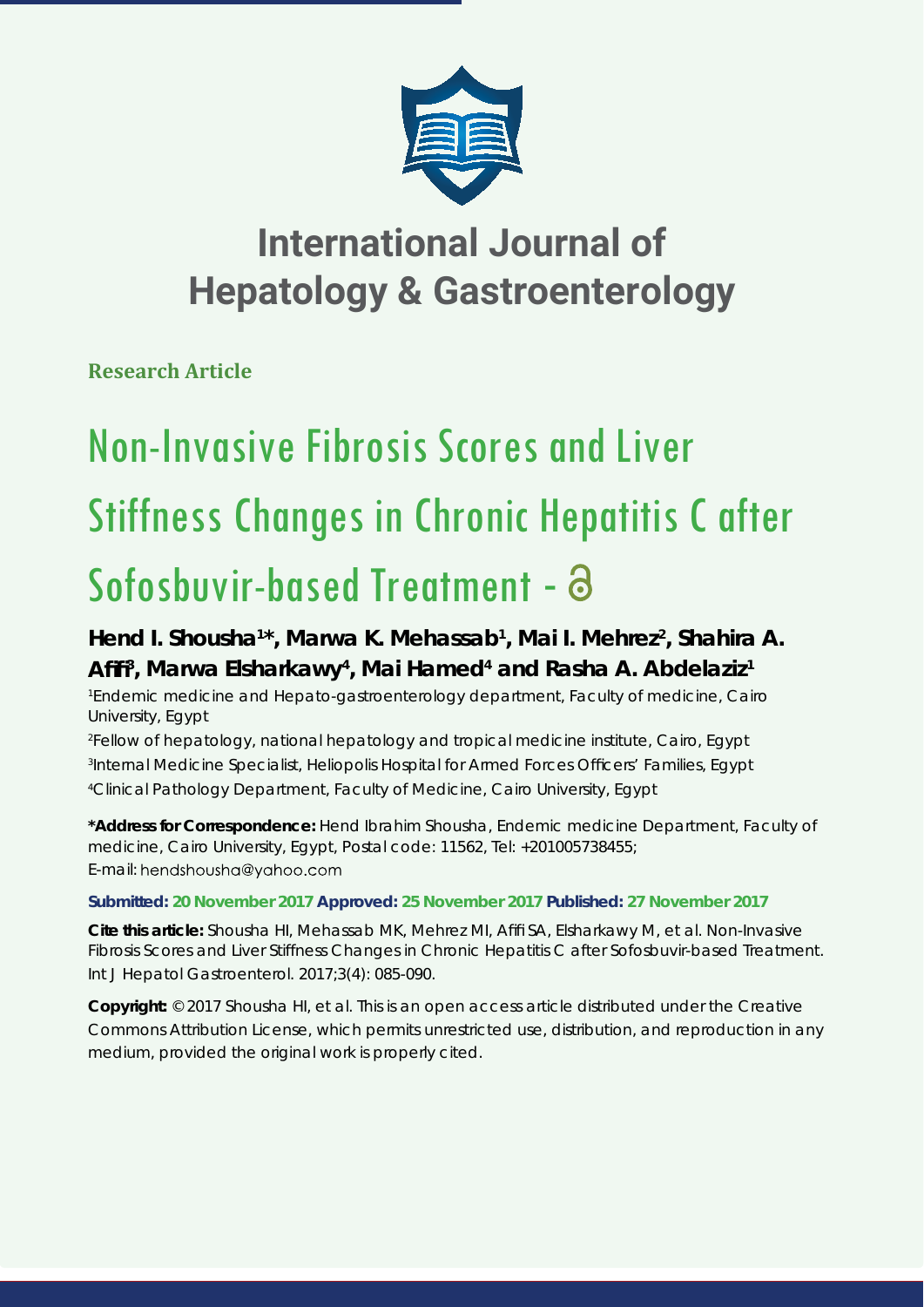

## **International Journal of Hepatology & Gastroenterology**

**Research Article**

# Non-Invasive Fibrosis Scores and Liver Stiffness Changes in Chronic Hepatitis C after Sofosbuvir-based Treatment - a

## Hend I. Shousha<sup>1\*</sup>, Marwa K. Mehassab<sup>1</sup>, Mai I. Mehrez<sup>2</sup>, Shahira A. Afifi<sup>3</sup>, Marwa Elsharkawy<sup>4</sup>, Mai Hamed<sup>4</sup> and Rasha A. Abdelaziz<sup>1</sup>

*1 Endemic medicine and Hepato-gastroenterology department, Faculty of medicine, Cairo University, Egypt*

*2 Fellow of hepatology, national hepatology and tropical medicine institute, Cairo, Egypt 3 Internal Medicine Specialist, Heliopolis Hospital for Armed Forces Offi cers' Families, Egypt 4 Clinical Pathology Department, Faculty of Medicine, Cairo University, Egypt*

**\*Address for Correspondence:** Hend Ibrahim Shousha, Endemic medicine Department, Faculty of medicine, Cairo University, Egypt, Postal code: 11562, Tel: +201005738455; E-mail: hendshousha@yahoo.com

### **Submitted: 20 November 2017 Approved: 25 November 2017 Published: 27 November 2017**

**Cite this article:** Shousha HI, Mehassab MK, Mehrez MI, Afifi SA, Elsharkawy M, et al. Non-Invasive Fibrosis Scores and Liver Stiffness Changes in Chronic Hepatitis C after Sofosbuvir-based Treatment. Int J Hepatol Gastroenterol. 2017;3(4): 085-090.

**Copyright:** © 2017 Shousha HI, et al. This is an open access article distributed under the Creative Commons Attribution License, which permits unrestricted use, distribution, and reproduction in any medium, provided the original work is properly cited.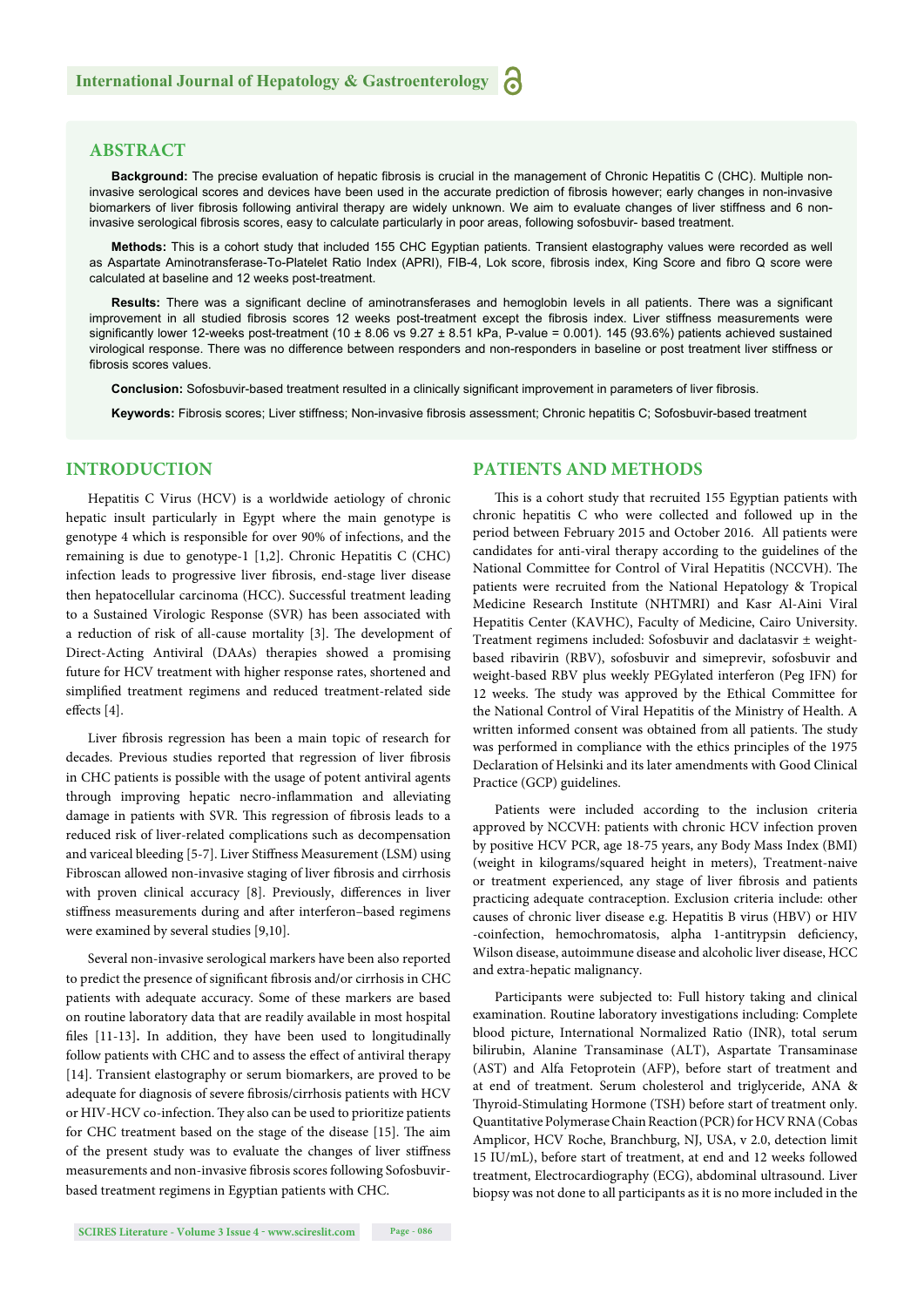#### **ABSTRACT**

Background: The precise evaluation of hepatic fibrosis is crucial in the management of Chronic Hepatitis C (CHC). Multiple noninvasive serological scores and devices have been used in the accurate prediction of fibrosis however; early changes in non-invasive biomarkers of liver fibrosis following antiviral therapy are widely unknown. We aim to evaluate changes of liver stiffness and 6 noninvasive serological fibrosis scores, easy to calculate particularly in poor areas, following sofosbuvir- based treatment.

**Methods:** This is a cohort study that included 155 CHC Egyptian patients. Transient elastography values were recorded as well as Aspartate Aminotransferase-To-Platelet Ratio Index (APRI), FIB-4, Lok score, fibrosis index, King Score and fibro Q score were calculated at baseline and 12 weeks post-treatment.

Results: There was a significant decline of aminotransferases and hemoglobin levels in all patients. There was a significant improvement in all studied fibrosis scores 12 weeks post-treatment except the fibrosis index. Liver stiffness measurements were significantly lower 12-weeks post-treatment (10  $\pm$  8.06 vs 9.27  $\pm$  8.51 kPa, P-value = 0.001). 145 (93.6%) patients achieved sustained virological response. There was no difference between responders and non-responders in baseline or post treatment liver stiffness or fibrosis scores values.

**Conclusion:** Sofosbuvir-based treatment resulted in a clinically significant improvement in parameters of liver fibrosis.

Keywords: Fibrosis scores; Liver stiffness; Non-invasive fibrosis assessment; Chronic hepatitis C; Sofosbuvir-based treatment

#### **INTRODUCTION**

Hepatitis C Virus (HCV) is a worldwide aetiology of chronic hepatic insult particularly in Egypt where the main genotype is genotype 4 which is responsible for over 90% of infections, and the remaining is due to genotype-1 [1,2]. Chronic Hepatitis C (CHC) infection leads to progressive liver fibrosis, end-stage liver disease then hepatocellular carcinoma (HCC). Successful treatment leading to a Sustained Virologic Response (SVR) has been associated with a reduction of risk of all-cause mortality [3]. The development of Direct-Acting Antiviral (DAAs) therapies showed a promising future for HCV treatment with higher response rates, shortened and simplified treatment regimens and reduced treatment-related side effects [4].

Liver fibrosis regression has been a main topic of research for decades. Previous studies reported that regression of liver fibrosis in CHC patients is possible with the usage of potent antiviral agents through improving hepatic necro-inflammation and alleviating damage in patients with SVR. This regression of fibrosis leads to a reduced risk of liver-related complications such as decompensation and variceal bleeding [5-7]. Liver Stiffness Measurement (LSM) using Fibroscan allowed non-invasive staging of liver fibrosis and cirrhosis with proven clinical accuracy [8]. Previously, differences in liver stiffness measurements during and after interferon-based regimens were examined by several studies [9,10].

Several non-invasive serological markers have been also reported to predict the presence of significant fibrosis and/or cirrhosis in CHC patients with adequate accuracy. Some of these markers are based on routine laboratory data that are readily available in most hospital files [11-13]. In addition, they have been used to longitudinally follow patients with CHC and to assess the effect of antiviral therapy [14]. Transient elastography or serum biomarkers, are proved to be adequate for diagnosis of severe fibrosis/cirrhosis patients with HCV or HIV-HCV co-infection. They also can be used to prioritize patients for CHC treatment based on the stage of the disease [15]. The aim of the present study was to evaluate the changes of liver stiffness measurements and non-invasive fibrosis scores following Sofosbuvirbased treatment regimens in Egyptian patients with CHC.

#### **PATIENTS AND METHODS**

This is a cohort study that recruited 155 Egyptian patients with chronic hepatitis C who were collected and followed up in the period between February 2015 and October 2016. All patients were candidates for anti-viral therapy according to the guidelines of the National Committee for Control of Viral Hepatitis (NCCVH). The patients were recruited from the National Hepatology & Tropical Medicine Research Institute (NHTMRI) and Kasr Al-Aini Viral Hepatitis Center (KAVHC), Faculty of Medicine, Cairo University. Treatment regimens included: Sofosbuvir and daclatasvir ± weightbased ribavirin (RBV), sofosbuvir and simeprevir, sofosbuvir and weight-based RBV plus weekly PEGylated interferon (Peg IFN) for 12 weeks. The study was approved by the Ethical Committee for the National Control of Viral Hepatitis of the Ministry of Health. A written informed consent was obtained from all patients. The study was performed in compliance with the ethics principles of the 1975 Declaration of Helsinki and its later amendments with Good Clinical Practice (GCP) guidelines.

Patients were included according to the inclusion criteria approved by NCCVH: patients with chronic HCV infection proven by positive HCV PCR, age 18-75 years, any Body Mass Index (BMI) (weight in kilograms/squared height in meters), Treatment-naive or treatment experienced, any stage of liver fibrosis and patients practicing adequate contraception. Exclusion criteria include: other causes of chronic liver disease e.g. Hepatitis B virus (HBV) or HIV -coinfection, hemochromatosis, alpha 1-antitrypsin deficiency, Wilson disease, autoimmune disease and alcoholic liver disease, HCC and extra-hepatic malignancy.

Participants were subjected to: Full history taking and clinical examination. Routine laboratory investigations including: Complete blood picture, International Normalized Ratio (INR), total serum bilirubin, Alanine Transaminase (ALT), Aspartate Transaminase (AST) and Alfa Fetoprotein (AFP), before start of treatment and at end of treatment. Serum cholesterol and triglyceride, ANA & Thyroid-Stimulating Hormone (TSH) before start of treatment only. Quantitative Polymerase Chain Reaction (PCR) for HCV RNA (Cobas Amplicor, HCV Roche, Branchburg, NJ, USA, v 2.0, detection limit 15 IU/mL), before start of treatment, at end and 12 weeks followed treatment, Electrocardiography (ECG), abdominal ultrasound. Liver biopsy was not done to all participants as it is no more included in the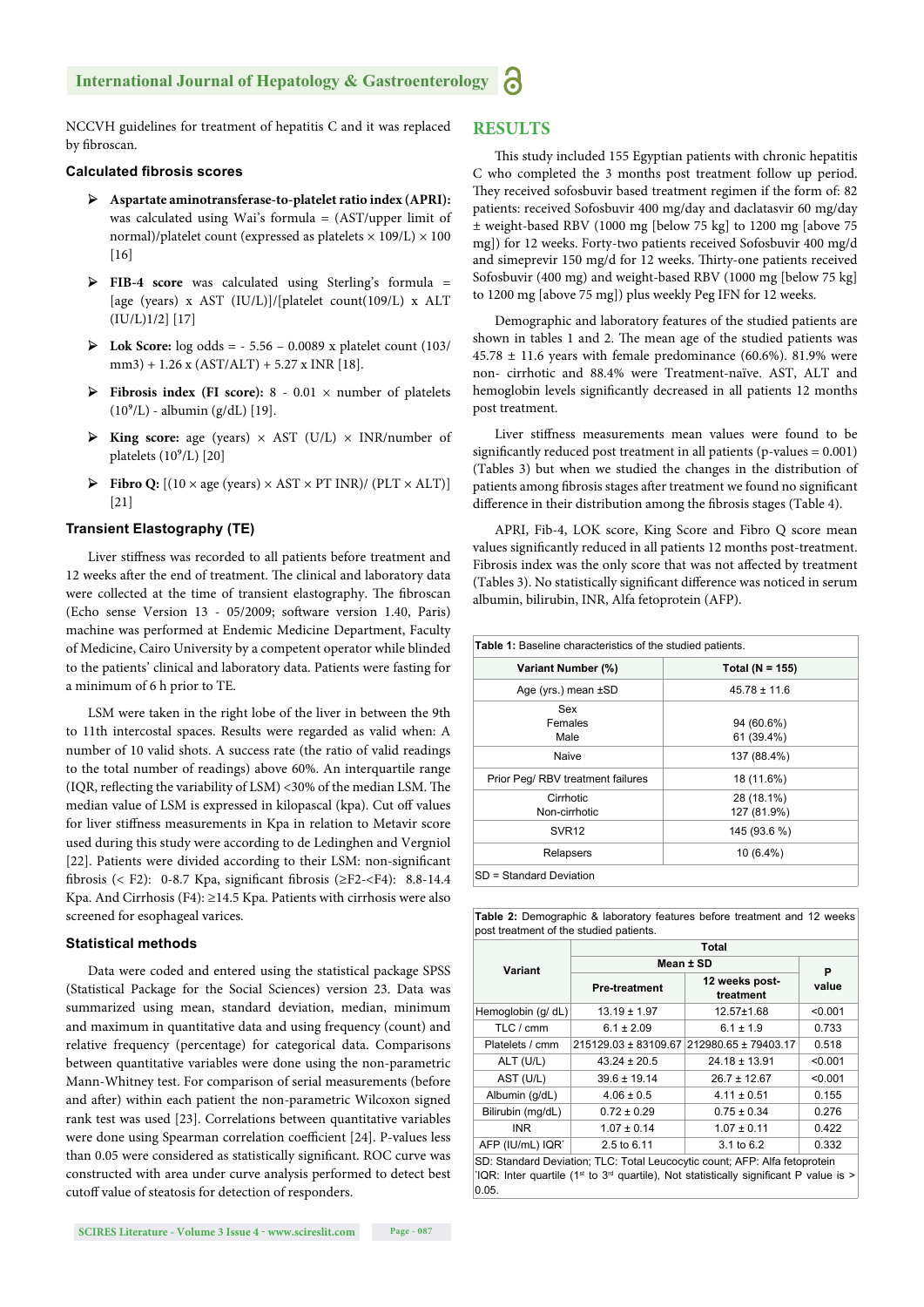#### **International Journal of Hepatology & Gastroenterology**

NCCVH guidelines for treatment of hepatitis C and it was replaced by fibroscan.

#### **Calculated fibrosis scores**

- ➢ **Aspartate aminotransferase-to-platelet ratio index (APRI):** was calculated using Wai's formula = (AST/upper limit of normal)/platelet count (expressed as platelets  $\times$  109/L)  $\times$  100  $[16]$
- ➢ **FIB-4 score** was calculated using Sterling's formula = [age (years) x AST (IU/L)]/[platelet count(109/L) x ALT (IU/L)1/2] [17]
- ➢ **Lok Score:** log odds = 5.56 0.0089 x platelet count (103/ mm3) + 1.26 x (AST/ALT) + 5.27 x INR [18].
- ➢ **Fibrosis index (FI score):** 8 0.01 × number of platelets  $(10^9/L)$  - albumin (g/dL) [19].
- ➢ **King score:** age (years) × AST (U/L) × INR/number of platelets  $(10^9/L)$  [20]
- $\triangleright$  **Fibro Q:**  $[(10 \times \text{age (years}) \times \text{AST} \times \text{PT INR}) / (\text{PLT} \times \text{ALT})]$ [21]

#### **Transient Elastography (TE)**

Liver stiffness was recorded to all patients before treatment and 12 weeks after the end of treatment. The clinical and laboratory data were collected at the time of transient elastography. The fibroscan (Echo sense Version 13 - 05/2009; software version 1.40, Paris) machine was performed at Endemic Medicine Department, Faculty of Medicine, Cairo University by a competent operator while blinded to the patients' clinical and laboratory data. Patients were fasting for a minimum of 6 h prior to TE.

LSM were taken in the right lobe of the liver in between the 9th to 11th intercostal spaces. Results were regarded as valid when: A number of 10 valid shots. A success rate (the ratio of valid readings to the total number of readings) above 60%. An interquartile range (IQR, reflecting the variability of LSM) <30% of the median LSM. The median value of LSM is expressed in kilopascal (kpa). Cut off values for liver stiffness measurements in Kpa in relation to Metavir score used during this study were according to de Ledinghen and Vergniol [22]. Patients were divided according to their LSM: non-significant fibrosis (< F2): 0-8.7 Kpa, significant fibrosis ( $\geq$ F2-<F4): 8.8-14.4 Kpa. And Cirrhosis (F4): ≥14.5 Kpa. Patients with cirrhosis were also screened for esophageal varices.

#### **Statistical methods**

Data were coded and entered using the statistical package SPSS (Statistical Package for the Social Sciences) version 23. Data was summarized using mean, standard deviation, median, minimum and maximum in quantitative data and using frequency (count) and relative frequency (percentage) for categorical data. Comparisons between quantitative variables were done using the non-parametric Mann-Whitney test. For comparison of serial measurements (before and after) within each patient the non-parametric Wilcoxon signed rank test was used [23]. Correlations between quantitative variables were done using Spearman correlation coefficient [24]. P-values less than 0.05 were considered as statistically significant. ROC curve was constructed with area under curve analysis performed to detect best cutoff value of steatosis for detection of responders.

#### **RESULTS**

This study included 155 Egyptian patients with chronic hepatitis C who completed the 3 months post treatment follow up period. They received sofosbuvir based treatment regimen if the form of: 82 patients: received Sofosbuvir 400 mg/day and daclatasvir 60 mg/day ± weight-based RBV (1000 mg [below 75 kg] to 1200 mg [above 75 mg]) for 12 weeks. Forty-two patients received Sofosbuvir 400 mg/d and simeprevir  $150 \text{ mg/d}$  for  $12$  weeks. Thirty-one patients received Sofosbuvir (400 mg) and weight-based RBV (1000 mg [below 75 kg] to 1200 mg [above 75 mg]) plus weekly Peg IFN for 12 weeks.

Demographic and laboratory features of the studied patients are shown in tables 1 and 2. The mean age of the studied patients was  $45.78 \pm 11.6$  years with female predominance (60.6%). 81.9% were non- cirrhotic and 88.4% were Treatment-naïve. AST, ALT and hemoglobin levels significantly decreased in all patients 12 months post treatment.

Liver stiffness measurements mean values were found to be significantly reduced post treatment in all patients ( $p$ -values =  $0.001$ ) (Tables 3) but when we studied the changes in the distribution of patients among fibrosis stages after treatment we found no significant difference in their distribution among the fibrosis stages (Table 4).

APRI, Fib-4, LOK score, King Score and Fibro Q score mean values significantly reduced in all patients 12 months post-treatment. Fibrosis index was the only score that was not affected by treatment (Tables 3). No statistically significant difference was noticed in serum albumin, bilirubin, INR, Alfa fetoprotein (AFP).

| <b>Table 1:</b> Baseline characteristics of the studied patients. |                           |
|-------------------------------------------------------------------|---------------------------|
| Variant Number (%)                                                | Total ( $N = 155$ )       |
| Age (yrs.) mean ±SD                                               | $45.78 \pm 11.6$          |
| Sex<br>Females<br>Male                                            | 94 (60.6%)<br>61 (39.4%)  |
| Naive                                                             | 137 (88.4%)               |
| Prior Peg/ RBV treatment failures                                 | 18 (11.6%)                |
| Cirrhotic<br>Non-cirrhotic                                        | 28 (18.1%)<br>127 (81.9%) |
| SVR <sub>12</sub>                                                 | 145 (93.6 %)              |
| Relapsers                                                         | $10(6.4\%)$               |
| SD = Standard Deviation                                           |                           |

| <b>Table 2:</b> Demographic & laboratory features before treatment and 12 weeks |  |
|---------------------------------------------------------------------------------|--|
| post treatment of the studied patients.                                         |  |

|                    | Total                |                                                                            |         |  |  |  |
|--------------------|----------------------|----------------------------------------------------------------------------|---------|--|--|--|
| Variant            | Mean ± SD            | P                                                                          |         |  |  |  |
|                    | <b>Pre-treatment</b> | 12 weeks post-<br>treatment                                                | value   |  |  |  |
| Hemoglobin (g/ dL) | $13.19 \pm 1.97$     | $12.57 \pm 1.68$                                                           | < 0.001 |  |  |  |
| TLC / cmm          | $6.1 \pm 2.09$       | $6.1 \pm 1.9$                                                              | 0.733   |  |  |  |
| Platelets / cmm    | 215129.03 ± 83109.67 | 212980.65 ± 79403.17                                                       | 0.518   |  |  |  |
| ALT (U/L)          | $43.24 \pm 20.5$     | $24.18 \pm 13.91$                                                          | < 0.001 |  |  |  |
| AST (U/L)          | $39.6 \pm 19.14$     | $26.7 \pm 12.67$                                                           | < 0.001 |  |  |  |
| Albumin (g/dL)     | $4.06 \pm 0.5$       | $4.11 \pm 0.51$                                                            | 0.155   |  |  |  |
| Bilirubin (mg/dL)  | $0.72 \pm 0.29$      | $0.75 \pm 0.34$                                                            | 0.276   |  |  |  |
| INR.               | $1.07 \pm 0.14$      | $1.07 \pm 0.11$                                                            | 0.422   |  |  |  |
| AFP (IU/mL) IQR'   | 2.5 to 6.11          | 3.1 to 6.2                                                                 | 0.332   |  |  |  |
|                    |                      | SD: Standard Deviation; TLC: Total Leucocytic count; AFP: Alfa fetoprotein |         |  |  |  |

 $IQR:$  Inter quartile (1<sup>st</sup> to 3<sup>rd</sup> quartile), Not statistically significant P value is > 0.05.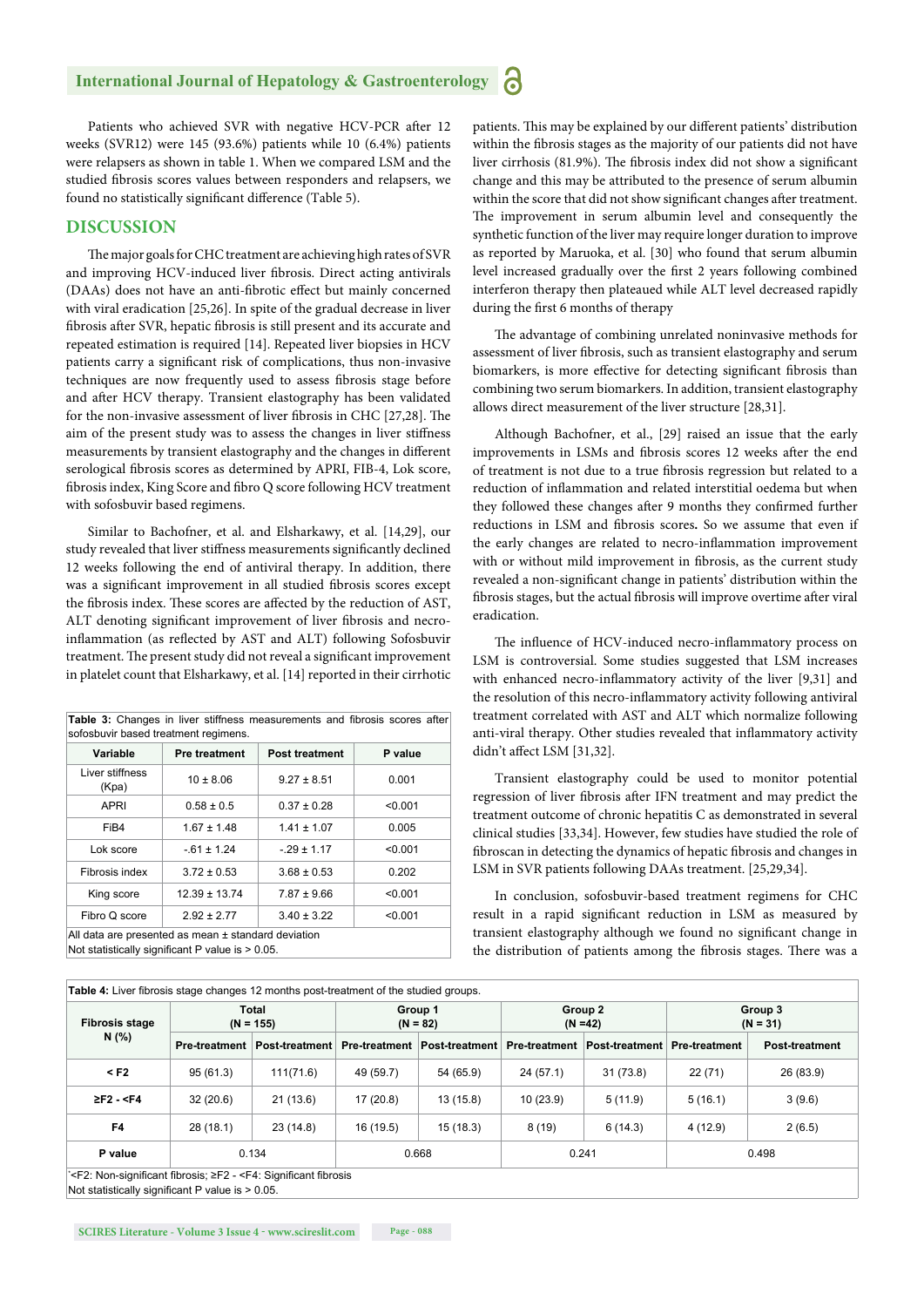Patients who achieved SVR with negative HCV-PCR after 12 weeks (SVR12) were 145 (93.6%) patients while 10 (6.4%) patients were relapsers as shown in table 1. When we compared LSM and the studied fibrosis scores values between responders and relapsers, we found no statistically significant difference (Table 5).

#### **DISCUSSION**

The major goals for CHC treatment are achieving high rates of SVR and improving HCV-induced liver fibrosis. Direct acting antivirals (DAAs) does not have an anti-fibrotic effect but mainly concerned with viral eradication [25,26]. In spite of the gradual decrease in liver fibrosis after SVR, hepatic fibrosis is still present and its accurate and repeated estimation is required [14]. Repeated liver biopsies in HCV patients carry a significant risk of complications, thus non-invasive techniques are now frequently used to assess fibrosis stage before and after HCV therapy. Transient elastography has been validated for the non-invasive assessment of liver fibrosis in CHC [27,28]. The aim of the present study was to assess the changes in liver stiffness measurements by transient elastography and the changes in different serological fibrosis scores as determined by APRI, FIB-4, Lok score, fibrosis index, King Score and fibro Q score following HCV treatment with sofosbuvir based regimens.

Similar to Bachofner, et al. and Elsharkawy, et al. [14,29], our study revealed that liver stiffness measurements significantly declined 12 weeks following the end of antiviral therapy. In addition, there was a significant improvement in all studied fibrosis scores except the fibrosis index. These scores are affected by the reduction of AST, ALT denoting significant improvement of liver fibrosis and necroinflammation (as reflected by AST and ALT) following Sofosbuvir treatment. The present study did not reveal a significant improvement in platelet count that Elsharkawy, et al. [14] reported in their cirrhotic

| Variable                 | <b>Pre treatment</b> | <b>Post treatment</b> | P value |
|--------------------------|----------------------|-----------------------|---------|
| Liver stiffness<br>(Kpa) | $10 \pm 8.06$        | $9.27 \pm 8.51$       | 0.001   |
| <b>APRI</b>              | $0.58 \pm 0.5$       | $0.37 \pm 0.28$       | < 0.001 |
| FiB4                     | $1.67 \pm 1.48$      | $1.41 \pm 1.07$       | 0.005   |
| Lok score                | $-61 \pm 1.24$       | $-29 \pm 1.17$        | < 0.001 |
| Fibrosis index           | $3.72 \pm 0.53$      | $3.68 \pm 0.53$       | 0.202   |
| King score               | $12.39 \pm 13.74$    | $7.87 \pm 9.66$       | < 0.001 |
| Fibro Q score            | $2.92 \pm 2.77$      | $3.40 \pm 3.22$       | < 0.001 |

patients. This may be explained by our different patients' distribution within the fibrosis stages as the majority of our patients did not have liver cirrhosis (81.9%). The fibrosis index did not show a significant change and this may be attributed to the presence of serum albumin within the score that did not show significant changes after treatment. The improvement in serum albumin level and consequently the synthetic function of the liver may require longer duration to improve as reported by Maruoka, et al. [30] who found that serum albumin level increased gradually over the first 2 years following combined interferon therapy then plateaued while ALT level decreased rapidly during the first 6 months of therapy

The advantage of combining unrelated noninvasive methods for assessment of liver fibrosis, such as transient elastography and serum biomarkers, is more effective for detecting significant fibrosis than combining two serum biomarkers. In addition, transient elastography allows direct measurement of the liver structure [28,31].

Although Bachofner, et al., [29] raised an issue that the early improvements in LSMs and fibrosis scores 12 weeks after the end of treatment is not due to a true fibrosis regression but related to a reduction of inflammation and related interstitial oedema but when they followed these changes after 9 months they confirmed further reductions in LSM and fibrosis scores. So we assume that even if the early changes are related to necro-inflammation improvement with or without mild improvement in fibrosis, as the current study revealed a non-significant change in patients' distribution within the fibrosis stages, but the actual fibrosis will improve overtime after viral eradication.

The influence of HCV-induced necro-inflammatory process on LSM is controversial. Some studies suggested that LSM increases with enhanced necro-inflammatory activity of the liver [9,31] and the resolution of this necro-inflammatory activity following antiviral treatment correlated with AST and ALT which normalize following anti-viral therapy. Other studies revealed that inflammatory activity didn't affect LSM [31,32].

Transient elastography could be used to monitor potential regression of liver fibrosis after IFN treatment and may predict the treatment outcome of chronic hepatitis C as demonstrated in several clinical studies [33,34]. However, few studies have studied the role of fibroscan in detecting the dynamics of hepatic fibrosis and changes in LSM in SVR patients following DAAs treatment. [25,29,34].

In conclusion, sofosbuvir-based treatment regimens for CHC result in a rapid significant reduction in LSM as measured by transient elastography although we found no significant change in the distribution of patients among the fibrosis stages. There was a

| <b>Fibrosis stage</b> | Total<br>$(N = 155)$ |                | Group 1<br>$(N = 82)$ |                | Group 2<br>$(N = 42)$ |                | Group 3<br>$(N = 31)$ |                       |
|-----------------------|----------------------|----------------|-----------------------|----------------|-----------------------|----------------|-----------------------|-----------------------|
| N (%)                 | <b>Pre-treatment</b> | Post-treatment | <b>Pre-treatment</b>  | Post-treatment | <b>Pre-treatment</b>  | Post-treatment | <b>Pre-treatment</b>  | <b>Post-treatment</b> |
| $<$ F2                | 95(61.3)             | 111(71.6)      | 49 (59.7)             | 54 (65.9)      | 24(57.1)              | 31 (73.8)      | 22(71)                | 26 (83.9)             |
| $2F2 - < F4$          | 32(20.6)             | 21(13.6)       | 17(20.8)              | 13 (15.8)      | 10(23.9)              | 5(11.9)        | 5(16.1)               | 3(9.6)                |
| F <sub>4</sub>        | 28 (18.1)            | 23(14.8)       | 16 (19.5)             | 15 (18.3)      | 8(19)                 | 6(14.3)        | 4(12.9)               | 2(6.5)                |
| P value               |                      | 0.134          |                       | 0.668          | 0.241                 |                |                       | 0.498                 |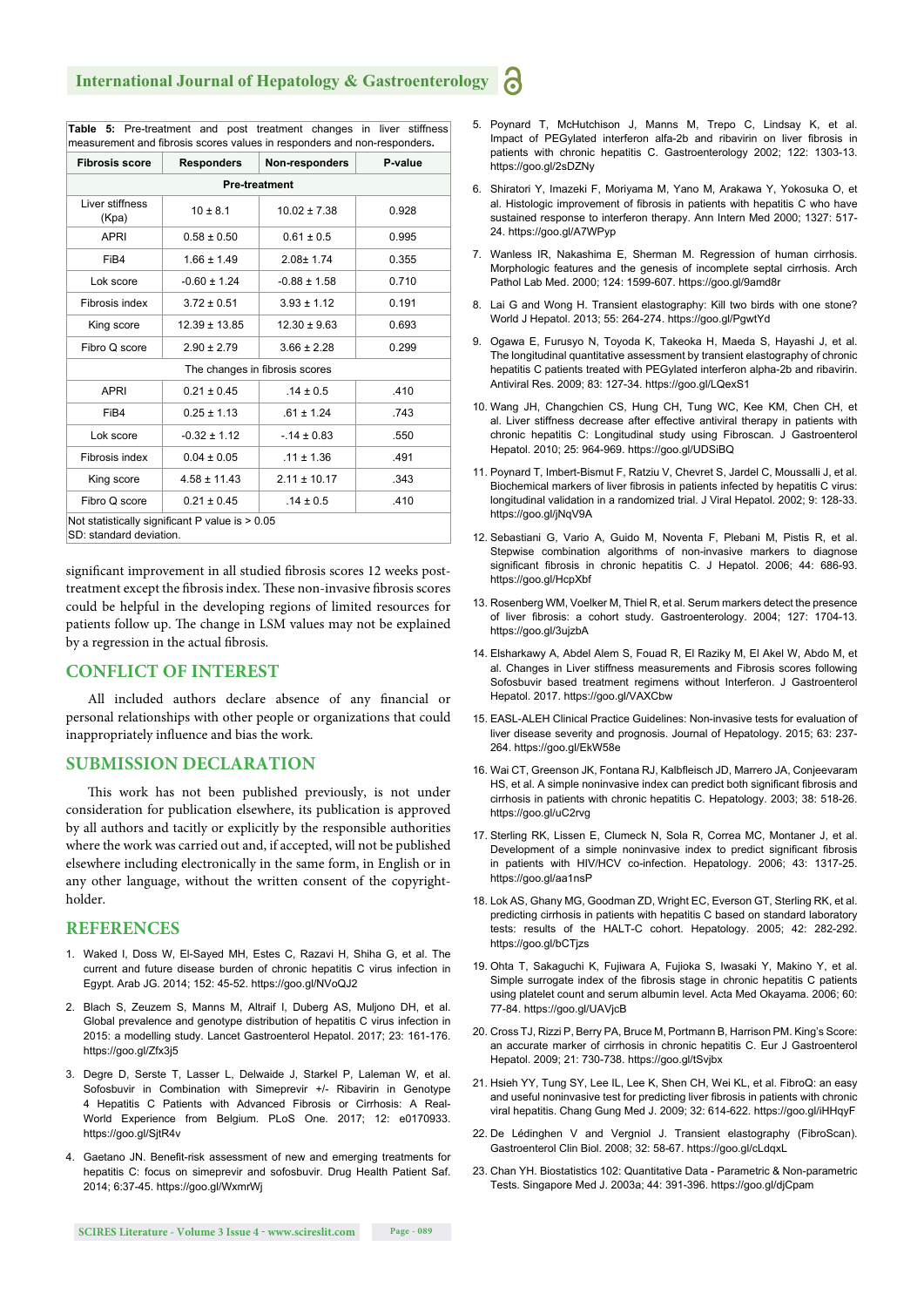**Table 5:** Pre-treatment and post treatment changes in liver stiffness

| <b>Fibrosis score</b>    | <b>Responders</b> | Non-responders                 | P-value |
|--------------------------|-------------------|--------------------------------|---------|
|                          |                   | <b>Pre-treatment</b>           |         |
| Liver stiffness<br>(Kpa) | $10 \pm 8.1$      | $10.02 \pm 7.38$               | 0.928   |
| <b>APRI</b>              | $0.58 \pm 0.50$   | $0.61 \pm 0.5$                 | 0.995   |
| FiB4                     | $1.66 \pm 1.49$   | $2.08 \pm 1.74$                | 0.355   |
| Lok score                | $-0.60 \pm 1.24$  | $-0.88 \pm 1.58$               | 0.710   |
| Fibrosis index           | $3.72 \pm 0.51$   | $3.93 \pm 1.12$                | 0.191   |
| King score               | $12.39 \pm 13.85$ | $12.30 \pm 9.63$               | 0.693   |
| Fibro Q score            | $2.90 \pm 2.79$   | $3.66 \pm 2.28$                | 0.299   |
|                          |                   | The changes in fibrosis scores |         |
| <b>APRI</b>              | $0.21 \pm 0.45$   | $.14 \pm 0.5$                  | .410    |
| FiB4                     | $0.25 \pm 1.13$   | $.61 \pm 1.24$                 | .743    |
| Lok score                | $-0.32 \pm 1.12$  | $-.14 \pm 0.83$                | .550    |
| Fibrosis index           | $0.04 \pm 0.05$   | $.11 \pm 1.36$                 | .491    |
| King score               | $4.58 \pm 11.43$  | $2.11 \pm 10.17$               | .343    |
| Fibro Q score            | $0.21 \pm 0.45$   | $.14 \pm 0.5$                  | .410    |

SD: standard deviation.

significant improvement in all studied fibrosis scores 12 weeks posttreatment except the fibrosis index. These non-invasive fibrosis scores could be helpful in the developing regions of limited resources for patients follow up. The change in LSM values may not be explained by a regression in the actual fibrosis.

#### **CONFLICT OF INTEREST**

All included authors declare absence of any financial or personal relationships with other people or organizations that could inappropriately influence and bias the work.

#### **SUBMISSION DECLARATION**

This work has not been published previously, is not under consideration for publication elsewhere, its publication is approved by all authors and tacitly or explicitly by the responsible authorities where the work was carried out and, if accepted, will not be published elsewhere including electronically in the same form, in English or in any other language, without the written consent of the copyrightholder.

#### **REFERENCES**

- 1. Waked I, Doss W, El-Sayed MH, Estes C, Razavi H, Shiha G, et al. The current and future disease burden of chronic hepatitis C virus infection in Egypt. Arab JG. 2014; 152: 45-52. https://goo.gl/NVoQJ2
- 2. Blach S, Zeuzem S, Manns M, Altraif I, Duberg AS, Muljono DH, et al. Global prevalence and genotype distribution of hepatitis C virus infection in 2015: a modelling study. Lancet Gastroenterol Hepatol. 2017; 23: 161-176. https://goo.gl/Zfx3j5
- 3. Degre D, Serste T, Lasser L, Delwaide J, Starkel P, Laleman W, et al. Sofosbuvir in Combination with Simeprevir +/- Ribavirin in Genotype 4 Hepatitis C Patients with Advanced Fibrosis or Cirrhosis: A Real-World Experience from Belgium. PLoS One. 2017; 12: e0170933. https://goo.gl/SjtR4v
- 4. Gaetano JN. Benefit-risk assessment of new and emerging treatments for hepatitis C: focus on simeprevir and sofosbuvir. Drug Health Patient Saf. 2014; 6:37-45. https://goo.gl/WxmrWj
- 5. Poynard T, McHutchison J, Manns M, Trepo C, Lindsay K, et al. Impact of PEGylated interferon alfa-2b and ribavirin on liver fibrosis in patients with chronic hepatitis C. Gastroenterology 2002; 122: 1303-13. https://goo.gl/2sDZNy
- 6. Shiratori Y, Imazeki F, Moriyama M, Yano M, Arakawa Y, Yokosuka O, et al. Histologic improvement of fibrosis in patients with hepatitis C who have sustained response to interferon therapy. Ann Intern Med 2000; 1327: 517- 24. https://goo.gl/A7WPyp
- 7. Wanless IR, Nakashima E, Sherman M. Regression of human cirrhosis. Morphologic features and the genesis of incomplete septal cirrhosis. Arch Pathol Lab Med. 2000; 124: 1599-607. https://goo.gl/9amd8r
- 8. Lai G and Wong H. Transient elastography: Kill two birds with one stone? World J Hepatol. 2013; 55: 264-274. https://goo.gl/PgwtYd
- 9. Ogawa E, Furusyo N, Toyoda K, Takeoka H, Maeda S, Hayashi J, et al. The longitudinal quantitative assessment by transient elastography of chronic hepatitis C patients treated with PEGylated interferon alpha-2b and ribavirin. Antiviral Res. 2009; 83: 127-34. https://goo.gl/LQexS1
- 10. Wang JH, Changchien CS, Hung CH, Tung WC, Kee KM, Chen CH, et al. Liver stiffness decrease after effective antiviral therapy in patients with chronic hepatitis C: Longitudinal study using Fibroscan. J Gastroenterol Hepatol. 2010; 25: 964-969. https://goo.gl/UDSiBQ
- 11. Poynard T, Imbert-Bismut F, Ratziu V, Chevret S, Jardel C, Moussalli J, et al. Biochemical markers of liver fibrosis in patients infected by hepatitis C virus: longitudinal validation in a randomized trial. J Viral Hepatol. 2002; 9: 128-33. https://goo.gl/jNqV9A
- 12. Sebastiani G, Vario A, Guido M, Noventa F, Plebani M, Pistis R, et al. Stepwise combination algorithms of non-invasive markers to diagnose significant fibrosis in chronic hepatitis C. J Hepatol. 2006; 44: 686-93. https://goo.gl/HcpXbf
- 13. Rosenberg WM, Voelker M, Thiel R, et al. Serum markers detect the presence of liver fibrosis: a cohort study. Gastroenterology. 2004; 127: 1704-13. https://goo.gl/3ujzbA
- 14. Elsharkawy A, Abdel Alem S, Fouad R, El Raziky M, El Akel W, Abdo M, et al. Changes in Liver stiffness measurements and Fibrosis scores following Sofosbuvir based treatment regimens without Interferon. J Gastroenterol Hepatol. 2017. https://goo.gl/VAXCbw
- 15. EASL-ALEH Clinical Practice Guidelines: Non-invasive tests for evaluation of liver disease severity and prognosis. Journal of Hepatology. 2015; 63: 237- 264. https://goo.gl/EkW58e
- 16. Wai CT, Greenson JK, Fontana RJ, Kalbfleisch JD, Marrero JA, Conjeevaram HS, et al. A simple noninvasive index can predict both significant fibrosis and cirrhosis in patients with chronic hepatitis C. Hepatology. 2003; 38: 518-26. https://goo.gl/uC2rvg
- 17. Sterling RK, Lissen E, Clumeck N, Sola R, Correa MC, Montaner J, et al. Development of a simple noninvasive index to predict significant fibrosis in patients with HIV/HCV co-infection. Hepatology. 2006; 43: 1317-25. https://goo.gl/aa1nsP
- 18. Lok AS, Ghany MG, Goodman ZD, Wright EC, Everson GT, Sterling RK, et al. predicting cirrhosis in patients with hepatitis C based on standard laboratory tests: results of the HALT-C cohort. Hepatology. 2005; 42: 282-292. https://goo.gl/bCTjzs
- 19. Ohta T, Sakaguchi K, Fujiwara A, Fujioka S, Iwasaki Y, Makino Y, et al. Simple surrogate index of the fibrosis stage in chronic hepatitis C patients using platelet count and serum albumin level. Acta Med Okayama. 2006; 60: 77-84. https://goo.gl/UAVjcB
- 20. Cross TJ, Rizzi P, Berry PA, Bruce M, Portmann B, Harrison PM. King's Score: an accurate marker of cirrhosis in chronic hepatitis C. Eur J Gastroenterol Hepatol. 2009; 21: 730-738. https://goo.gl/tSvjbx
- 21. Hsieh YY, Tung SY, Lee IL, Lee K, Shen CH, Wei KL, et al. FibroQ: an easy and useful noninvasive test for predicting liver fibrosis in patients with chronic viral hepatitis. Chang Gung Med J. 2009; 32: 614-622. https://goo.gl/iHHqyF
- 22. De Lédinghen V and Vergniol J. Transient elastography (FibroScan). Gastroenterol Clin Biol. 2008; 32: 58-67. https://goo.gl/cLdqxL
- 23. Chan YH. Biostatistics 102: Quantitative Data Parametric & Non-parametric Tests. Singapore Med J. 2003a; 44: 391-396. https://goo.gl/djCpam